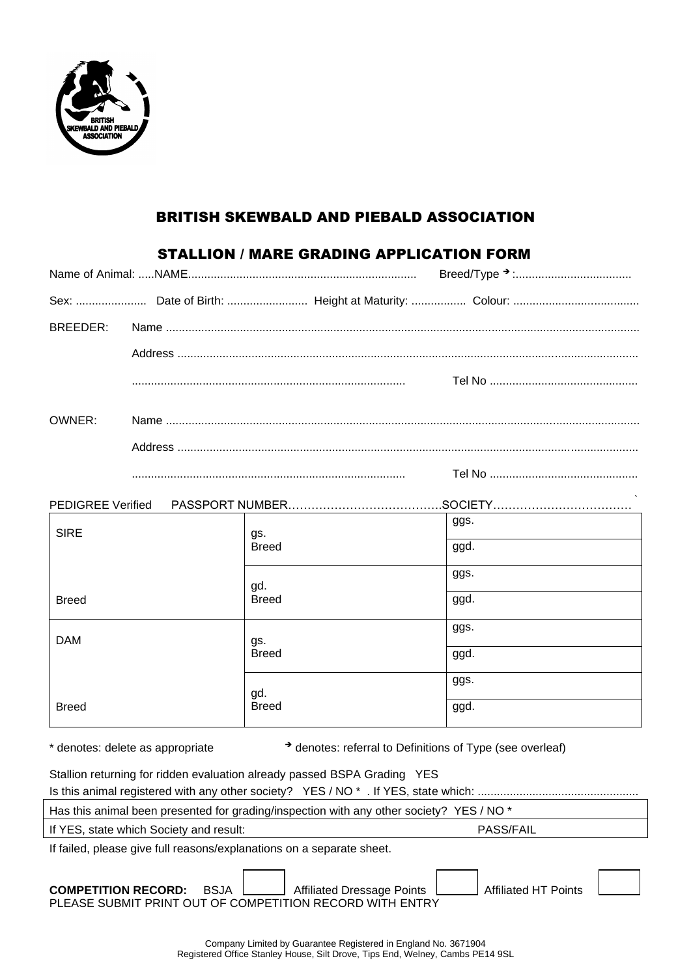

### BRITISH SKEWBALD AND PIEBALD ASSOCIATION

## STALLION / MARE GRADING APPLICATION FORM

| BREEDER: |                                                                                                                                                                                                                                                                                                                                                                                                                                             |      |
|----------|---------------------------------------------------------------------------------------------------------------------------------------------------------------------------------------------------------------------------------------------------------------------------------------------------------------------------------------------------------------------------------------------------------------------------------------------|------|
|          |                                                                                                                                                                                                                                                                                                                                                                                                                                             |      |
|          |                                                                                                                                                                                                                                                                                                                                                                                                                                             |      |
| OWNER:   |                                                                                                                                                                                                                                                                                                                                                                                                                                             |      |
|          |                                                                                                                                                                                                                                                                                                                                                                                                                                             |      |
|          | $\begin{minipage}{0.5\textwidth} \begin{tabular}{ l l l } \hline \multicolumn{1}{ l l l } \hline \multicolumn{1}{ l l } \multicolumn{1}{ l } \multicolumn{1}{ l } \multicolumn{1}{ l } \multicolumn{1}{ l } \multicolumn{1}{ l } \multicolumn{1}{ l } \multicolumn{1}{ l } \multicolumn{1}{ l } \multicolumn{1}{ l } \multicolumn{1}{ l } \multicolumn{1}{ l } \multicolumn{1}{ l } \multicolumn{1}{ l } \multicolumn{1}{ l } \multicolumn$ |      |
|          |                                                                                                                                                                                                                                                                                                                                                                                                                                             |      |
|          |                                                                                                                                                                                                                                                                                                                                                                                                                                             | ggs. |

| <b>SIRE</b>  | gs.          | ອອ∽∙ |
|--------------|--------------|------|
|              | <b>Breed</b> | ggd. |
|              | gd.          | ggs. |
| <b>Breed</b> | <b>Breed</b> | ggd. |
| <b>DAM</b>   | gs.          | ggs. |
|              | <b>Breed</b> | ggd. |
|              | gd.          | ggs. |
| <b>Breed</b> | <b>Breed</b> | ggd. |

\* denotes: delete as appropriate ➔ denotes: referral to Definitions of Type (see overleaf)

| Stallion returning for ridden evaluation already passed BSPA Grading YES                                                                                                                                                                                                                                                                                                                                                                                   |  |  |  |  |
|------------------------------------------------------------------------------------------------------------------------------------------------------------------------------------------------------------------------------------------------------------------------------------------------------------------------------------------------------------------------------------------------------------------------------------------------------------|--|--|--|--|
|                                                                                                                                                                                                                                                                                                                                                                                                                                                            |  |  |  |  |
| $\mathbf{u} = \mathbf{u} \cdot \mathbf{u} + \mathbf{u} \cdot \mathbf{u} + \mathbf{u} \cdot \mathbf{u} + \mathbf{u} \cdot \mathbf{u} + \mathbf{u} \cdot \mathbf{u} + \mathbf{u} \cdot \mathbf{u} + \mathbf{u} \cdot \mathbf{u} + \mathbf{u} \cdot \mathbf{u} + \mathbf{u} \cdot \mathbf{u} + \mathbf{u} \cdot \mathbf{u} + \mathbf{u} \cdot \mathbf{u} + \mathbf{u} \cdot \mathbf{u} + \mathbf{u} \cdot \mathbf{u} + \mathbf{u} \cdot \mathbf{u} + \mathbf$ |  |  |  |  |

Has this animal been presented for grading/inspection with any other society? YES / NO \*

If YES, state which Society and result: PASS/FAIL

If failed, please give full reasons/explanations on a separate sheet.

**COMPETITION RECORD:** BSJA | Affiliated Dressage Points | Affiliated HT Points PLEASE SUBMIT PRINT OUT OF COMPETITION RECORD WITH ENTRY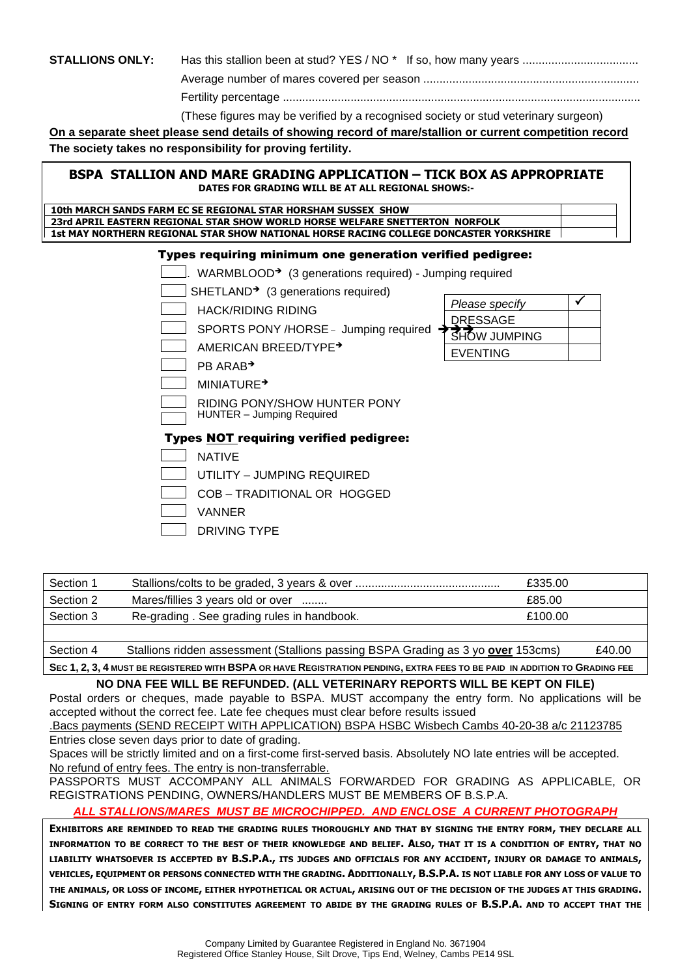# **STALLIONS ONLY:** Has this stallion been at stud? YES / NO \* If so, how many years ..................................

Average number of mares covered per season ...................................................................

*Please specify*

DRESSAGE **SHOW JUMPING** 

EVENTING

Fertility percentage ...............................................................................................................

(These figures may be verified by a recognised society or stud veterinary surgeon)

**On a separate sheet please send details of showing record of mare/stallion or current competition record The society takes no responsibility for proving fertility.**

#### **BSPA STALLION AND MARE GRADING APPLICATION – TICK BOX AS APPROPRIATE DATES FOR GRADING WILL BE AT ALL REGIONAL SHOWS:-**

| 10th MARCH SANDS FARM EC SE REGIONAL STAR HORSHAM SUSSEX SHOW                         |  |
|---------------------------------------------------------------------------------------|--|
| 23rd APRIL EASTERN REGIONAL STAR SHOW WORLD HORSE WELFARE SNETTERTON NORFOLK          |  |
| 1st MAY NORTHERN REGIONAL STAR SHOW NATIONAL HORSE RACING COLLEGE DONCASTER YORKSHIRE |  |

#### Types requiring minimum one generation verified pedigree:

 $\Box$ . WARMBLOOD<sup>→</sup> (3 generations required) - Jumping required

 $\Box$  SHETLAND<sup>→</sup> (3 generations required)

HACK/RIDING RIDING

SPORTS PONY /HORSE - Jumping required

AMERICAN BREED/TYPE➔

**PB ARAB**<sup>→</sup>

MINIATURE➔

RIDING PONY/SHOW HUNTER PONY

HUNTER – Jumping Required

#### Types NOT requiring verified pedigree:

**NATIVE** 

 $\Box$  UTILITY – JUMPING REQUIRED

COB – TRADITIONAL OR HOGGED

VANNER

DRIVING TYPE

| Section 1                                                                                                                  |                                                                                  | £335.00 |        |  |
|----------------------------------------------------------------------------------------------------------------------------|----------------------------------------------------------------------------------|---------|--------|--|
| Section 2                                                                                                                  | Mares/fillies 3 years old or over                                                | £85.00  |        |  |
| Section 3                                                                                                                  | Re-grading. See grading rules in handbook.                                       | £100.00 |        |  |
|                                                                                                                            |                                                                                  |         |        |  |
| Section 4                                                                                                                  | Stallions ridden assessment (Stallions passing BSPA Grading as 3 yo over 153cms) |         | £40.00 |  |
| SEC 1, 2, 3, 4 MUST BE REGISTERED WITH BSPA OR HAVE REGISTRATION PENDING, EXTRA FEES TO BE PAID IN ADDITION TO GRADING FEE |                                                                                  |         |        |  |

#### **NO DNA FEE WILL BE REFUNDED. (ALL VETERINARY REPORTS WILL BE KEPT ON FILE)**

Postal orders or cheques, made payable to BSPA. MUST accompany the entry form. No applications will be accepted without the correct fee. Late fee cheques must clear before results issued

.Bacs payments (SEND RECEIPT WITH APPLICATION) BSPA HSBC Wisbech Cambs 40-20-38 a/c 21123785 Entries close seven days prior to date of grading.

Spaces will be strictly limited and on a first-come first-served basis. Absolutely NO late entries will be accepted. No refund of entry fees. The entry is non-transferrable.

PASSPORTS MUST ACCOMPANY ALL ANIMALS FORWARDED FOR GRADING AS APPLICABLE, OR REGISTRATIONS PENDING, OWNERS/HANDLERS MUST BE MEMBERS OF B.S.P.A.

*ALL STALLIONS/MARES MUST BE MICROCHIPPED. AND ENCLOSE A CURRENT PHOTOGRAPH*

**EXHIBITORS ARE REMINDED TO READ THE GRADING RULES THOROUGHLY AND THAT BY SIGNING THE ENTRY FORM, THEY DECLARE ALL INFORMATION TO BE CORRECT TO THE BEST OF THEIR KNOWLEDGE AND BELIEF. ALSO, THAT IT IS A CONDITION OF ENTRY, THAT NO LIABILITY WHATSOEVER IS ACCEPTED BY B.S.P.A., ITS JUDGES AND OFFICIALS FOR ANY ACCIDENT, INJURY OR DAMAGE TO ANIMALS, VEHICLES, EQUIPMENT OR PERSONS CONNECTED WITH THE GRADING. ADDITIONALLY, B.S.P.A. IS NOT LIABLE FOR ANY LOSS OF VALUE TO THE ANIMALS, OR LOSS OF INCOME, EITHER HYPOTHETICAL OR ACTUAL, ARISING OUT OF THE DECISION OF THE JUDGES AT THIS GRADING. SIGNING OF ENTRY FORM ALSO CONSTITUTES AGREEMENT TO ABIDE BY THE GRADING RULES OF B.S.P.A. AND TO ACCEPT THAT THE**